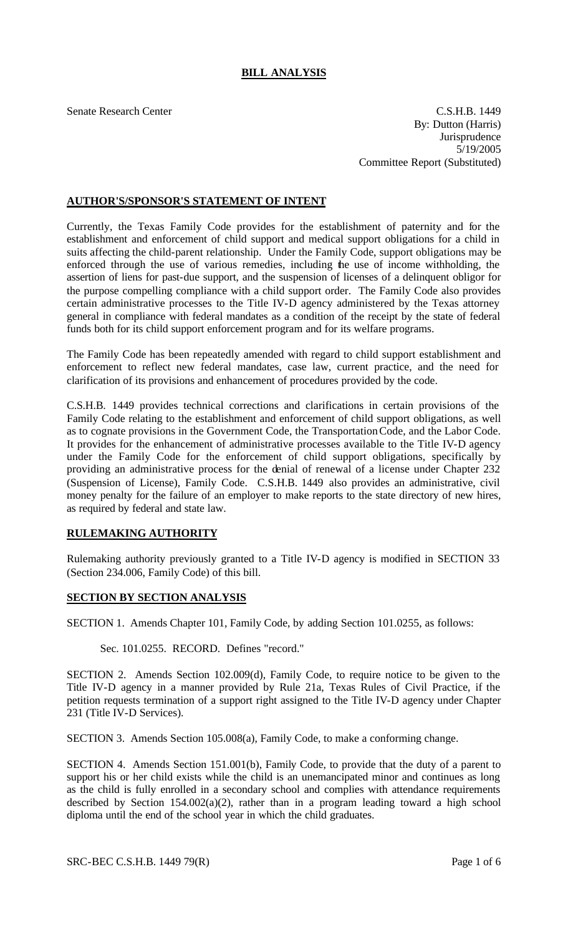## **BILL ANALYSIS**

Senate Research Center C.S.H.B. 1449 By: Dutton (Harris) **Jurisprudence** 5/19/2005 Committee Report (Substituted)

## **AUTHOR'S/SPONSOR'S STATEMENT OF INTENT**

Currently, the Texas Family Code provides for the establishment of paternity and for the establishment and enforcement of child support and medical support obligations for a child in suits affecting the child-parent relationship. Under the Family Code, support obligations may be enforced through the use of various remedies, including the use of income withholding, the assertion of liens for past-due support, and the suspension of licenses of a delinquent obligor for the purpose compelling compliance with a child support order. The Family Code also provides certain administrative processes to the Title IV-D agency administered by the Texas attorney general in compliance with federal mandates as a condition of the receipt by the state of federal funds both for its child support enforcement program and for its welfare programs.

The Family Code has been repeatedly amended with regard to child support establishment and enforcement to reflect new federal mandates, case law, current practice, and the need for clarification of its provisions and enhancement of procedures provided by the code.

C.S.H.B. 1449 provides technical corrections and clarifications in certain provisions of the Family Code relating to the establishment and enforcement of child support obligations, as well as to cognate provisions in the Government Code, the Transportation Code, and the Labor Code. It provides for the enhancement of administrative processes available to the Title IV-D agency under the Family Code for the enforcement of child support obligations, specifically by providing an administrative process for the denial of renewal of a license under Chapter 232 (Suspension of License), Family Code. C.S.H.B. 1449 also provides an administrative, civil money penalty for the failure of an employer to make reports to the state directory of new hires, as required by federal and state law.

## **RULEMAKING AUTHORITY**

Rulemaking authority previously granted to a Title IV-D agency is modified in SECTION 33 (Section 234.006, Family Code) of this bill.

## **SECTION BY SECTION ANALYSIS**

SECTION 1. Amends Chapter 101, Family Code, by adding Section 101.0255, as follows:

Sec. 101.0255. RECORD. Defines "record."

SECTION 2. Amends Section 102.009(d), Family Code, to require notice to be given to the Title IV-D agency in a manner provided by Rule 21a, Texas Rules of Civil Practice, if the petition requests termination of a support right assigned to the Title IV-D agency under Chapter 231 (Title IV-D Services).

SECTION 3. Amends Section 105.008(a), Family Code, to make a conforming change.

SECTION 4. Amends Section 151.001(b), Family Code, to provide that the duty of a parent to support his or her child exists while the child is an unemancipated minor and continues as long as the child is fully enrolled in a secondary school and complies with attendance requirements described by Section  $154.002(a)(2)$ , rather than in a program leading toward a high school diploma until the end of the school year in which the child graduates.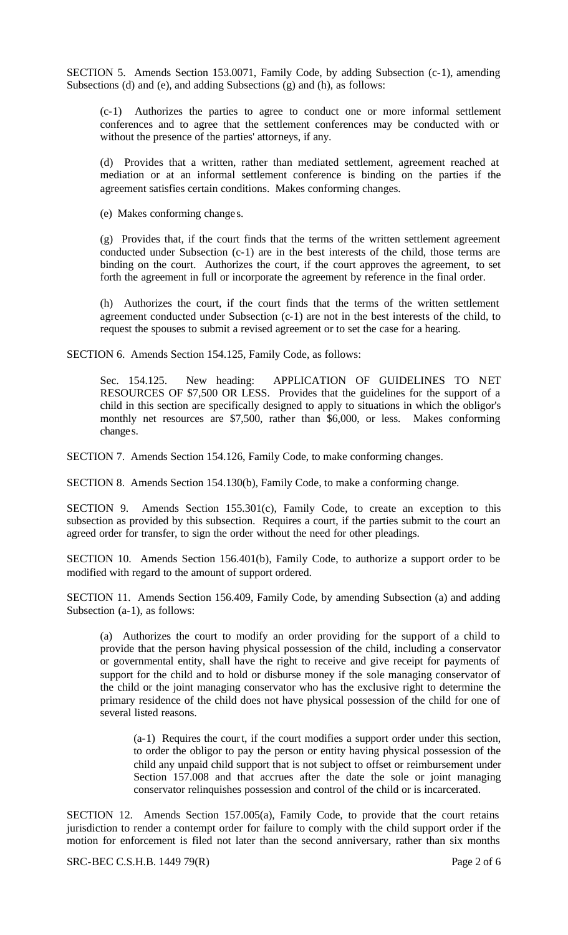SECTION 5. Amends Section 153.0071, Family Code, by adding Subsection (c-1), amending Subsections (d) and (e), and adding Subsections (g) and (h), as follows:

(c-1) Authorizes the parties to agree to conduct one or more informal settlement conferences and to agree that the settlement conferences may be conducted with or without the presence of the parties' attorneys, if any.

(d) Provides that a written, rather than mediated settlement, agreement reached at mediation or at an informal settlement conference is binding on the parties if the agreement satisfies certain conditions. Makes conforming changes.

(e) Makes conforming change s.

(g) Provides that, if the court finds that the terms of the written settlement agreement conducted under Subsection (c-1) are in the best interests of the child, those terms are binding on the court. Authorizes the court, if the court approves the agreement, to set forth the agreement in full or incorporate the agreement by reference in the final order.

(h) Authorizes the court, if the court finds that the terms of the written settlement agreement conducted under Subsection (c-1) are not in the best interests of the child, to request the spouses to submit a revised agreement or to set the case for a hearing.

SECTION 6. Amends Section 154.125, Family Code, as follows:

Sec. 154.125. New heading: APPLICATION OF GUIDELINES TO NET RESOURCES OF \$7,500 OR LESS. Provides that the guidelines for the support of a child in this section are specifically designed to apply to situations in which the obligor's monthly net resources are \$7,500, rather than \$6,000, or less. Makes conforming changes.

SECTION 7. Amends Section 154.126, Family Code, to make conforming changes.

SECTION 8. Amends Section 154.130(b), Family Code, to make a conforming change.

SECTION 9. Amends Section 155.301(c), Family Code, to create an exception to this subsection as provided by this subsection. Requires a court, if the parties submit to the court an agreed order for transfer, to sign the order without the need for other pleadings.

SECTION 10. Amends Section 156.401(b), Family Code, to authorize a support order to be modified with regard to the amount of support ordered.

SECTION 11. Amends Section 156.409, Family Code, by amending Subsection (a) and adding Subsection (a-1), as follows:

(a) Authorizes the court to modify an order providing for the support of a child to provide that the person having physical possession of the child, including a conservator or governmental entity, shall have the right to receive and give receipt for payments of support for the child and to hold or disburse money if the sole managing conservator of the child or the joint managing conservator who has the exclusive right to determine the primary residence of the child does not have physical possession of the child for one of several listed reasons.

(a-1) Requires the court, if the court modifies a support order under this section, to order the obligor to pay the person or entity having physical possession of the child any unpaid child support that is not subject to offset or reimbursement under Section 157.008 and that accrues after the date the sole or joint managing conservator relinquishes possession and control of the child or is incarcerated.

SECTION 12. Amends Section 157.005(a), Family Code, to provide that the court retains jurisdiction to render a contempt order for failure to comply with the child support order if the motion for enforcement is filed not later than the second anniversary, rather than six months

SRC-BEC C.S.H.B. 1449 79(R) Page 2 of 6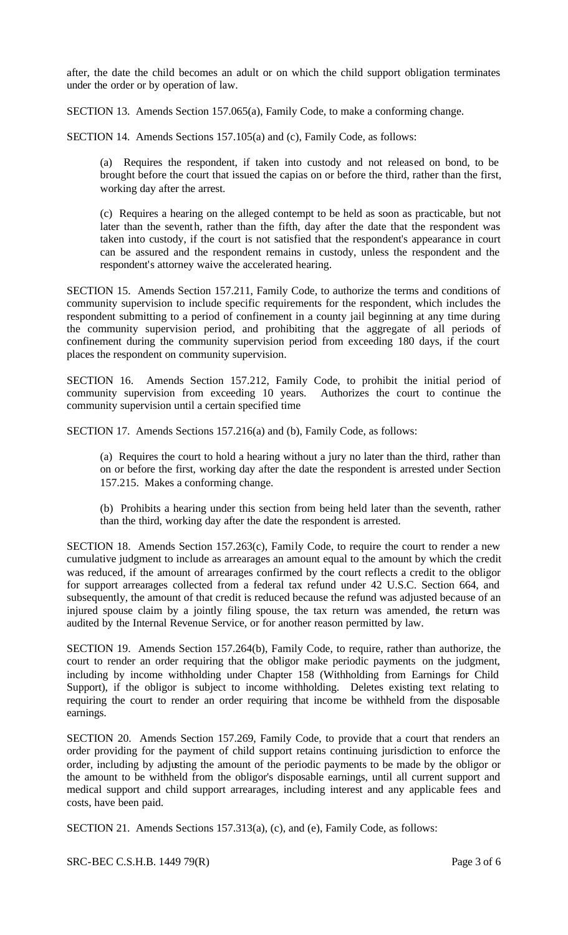after, the date the child becomes an adult or on which the child support obligation terminates under the order or by operation of law.

SECTION 13. Amends Section 157.065(a), Family Code, to make a conforming change.

SECTION 14. Amends Sections 157.105(a) and (c), Family Code, as follows:

(a) Requires the respondent, if taken into custody and not released on bond, to be brought before the court that issued the capias on or before the third, rather than the first, working day after the arrest.

(c) Requires a hearing on the alleged contempt to be held as soon as practicable, but not later than the seventh, rather than the fifth, day after the date that the respondent was taken into custody, if the court is not satisfied that the respondent's appearance in court can be assured and the respondent remains in custody, unless the respondent and the respondent's attorney waive the accelerated hearing.

SECTION 15. Amends Section 157.211, Family Code, to authorize the terms and conditions of community supervision to include specific requirements for the respondent, which includes the respondent submitting to a period of confinement in a county jail beginning at any time during the community supervision period, and prohibiting that the aggregate of all periods of confinement during the community supervision period from exceeding 180 days, if the court places the respondent on community supervision.

SECTION 16. Amends Section 157.212, Family Code, to prohibit the initial period of community supervision from exceeding 10 years. Authorizes the court to continue the community supervision until a certain specified time

SECTION 17. Amends Sections 157.216(a) and (b), Family Code, as follows:

(a) Requires the court to hold a hearing without a jury no later than the third, rather than on or before the first, working day after the date the respondent is arrested under Section 157.215. Makes a conforming change.

(b) Prohibits a hearing under this section from being held later than the seventh, rather than the third, working day after the date the respondent is arrested.

SECTION 18. Amends Section 157.263(c), Family Code, to require the court to render a new cumulative judgment to include as arrearages an amount equal to the amount by which the credit was reduced, if the amount of arrearages confirmed by the court reflects a credit to the obligor for support arrearages collected from a federal tax refund under 42 U.S.C. Section 664, and subsequently, the amount of that credit is reduced because the refund was adjusted because of an injured spouse claim by a jointly filing spouse, the tax return was amended, the return was audited by the Internal Revenue Service, or for another reason permitted by law.

SECTION 19. Amends Section 157.264(b), Family Code, to require, rather than authorize, the court to render an order requiring that the obligor make periodic payments on the judgment, including by income withholding under Chapter 158 (Withholding from Earnings for Child Support), if the obligor is subject to income withholding. Deletes existing text relating to requiring the court to render an order requiring that income be withheld from the disposable earnings.

SECTION 20. Amends Section 157.269, Family Code, to provide that a court that renders an order providing for the payment of child support retains continuing jurisdiction to enforce the order, including by adjusting the amount of the periodic payments to be made by the obligor or the amount to be withheld from the obligor's disposable earnings, until all current support and medical support and child support arrearages, including interest and any applicable fees and costs, have been paid.

SECTION 21. Amends Sections 157.313(a), (c), and (e), Family Code, as follows:

SRC-BEC C.S.H.B. 1449 79(R) Page 3 of 6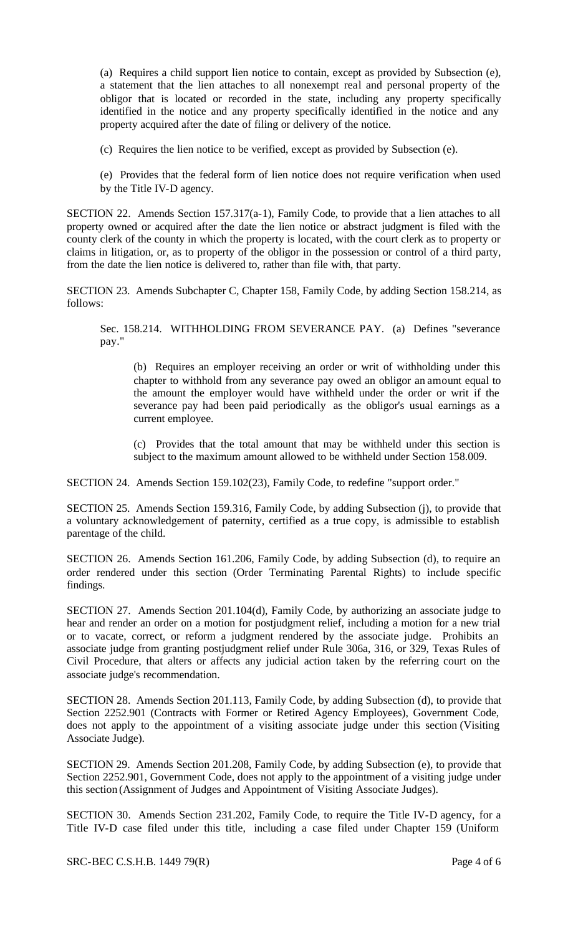(a) Requires a child support lien notice to contain, except as provided by Subsection (e), a statement that the lien attaches to all nonexempt real and personal property of the obligor that is located or recorded in the state, including any property specifically identified in the notice and any property specifically identified in the notice and any property acquired after the date of filing or delivery of the notice.

(c) Requires the lien notice to be verified, except as provided by Subsection (e).

(e) Provides that the federal form of lien notice does not require verification when used by the Title IV-D agency.

SECTION 22. Amends Section 157.317(a-1), Family Code, to provide that a lien attaches to all property owned or acquired after the date the lien notice or abstract judgment is filed with the county clerk of the county in which the property is located, with the court clerk as to property or claims in litigation, or, as to property of the obligor in the possession or control of a third party, from the date the lien notice is delivered to, rather than file with, that party.

SECTION 23. Amends Subchapter C, Chapter 158, Family Code, by adding Section 158.214, as follows:

Sec. 158.214. WITHHOLDING FROM SEVERANCE PAY. (a) Defines "severance pay."

(b) Requires an employer receiving an order or writ of withholding under this chapter to withhold from any severance pay owed an obligor an amount equal to the amount the employer would have withheld under the order or writ if the severance pay had been paid periodically as the obligor's usual earnings as a current employee.

(c) Provides that the total amount that may be withheld under this section is subject to the maximum amount allowed to be withheld under Section 158.009.

SECTION 24. Amends Section 159.102(23), Family Code, to redefine "support order."

SECTION 25. Amends Section 159.316, Family Code, by adding Subsection (j), to provide that a voluntary acknowledgement of paternity, certified as a true copy, is admissible to establish parentage of the child.

SECTION 26. Amends Section 161.206, Family Code, by adding Subsection (d), to require an order rendered under this section (Order Terminating Parental Rights) to include specific findings.

SECTION 27. Amends Section 201.104(d), Family Code, by authorizing an associate judge to hear and render an order on a motion for postjudgment relief, including a motion for a new trial or to vacate, correct, or reform a judgment rendered by the associate judge. Prohibits an associate judge from granting postjudgment relief under Rule 306a, 316, or 329, Texas Rules of Civil Procedure, that alters or affects any judicial action taken by the referring court on the associate judge's recommendation.

SECTION 28. Amends Section 201.113, Family Code, by adding Subsection (d), to provide that Section 2252.901 (Contracts with Former or Retired Agency Employees), Government Code, does not apply to the appointment of a visiting associate judge under this section (Visiting Associate Judge).

SECTION 29. Amends Section 201.208, Family Code, by adding Subsection (e), to provide that Section 2252.901, Government Code, does not apply to the appointment of a visiting judge under this section (Assignment of Judges and Appointment of Visiting Associate Judges).

SECTION 30. Amends Section 231.202, Family Code, to require the Title IV-D agency, for a Title IV-D case filed under this title, including a case filed under Chapter 159 (Uniform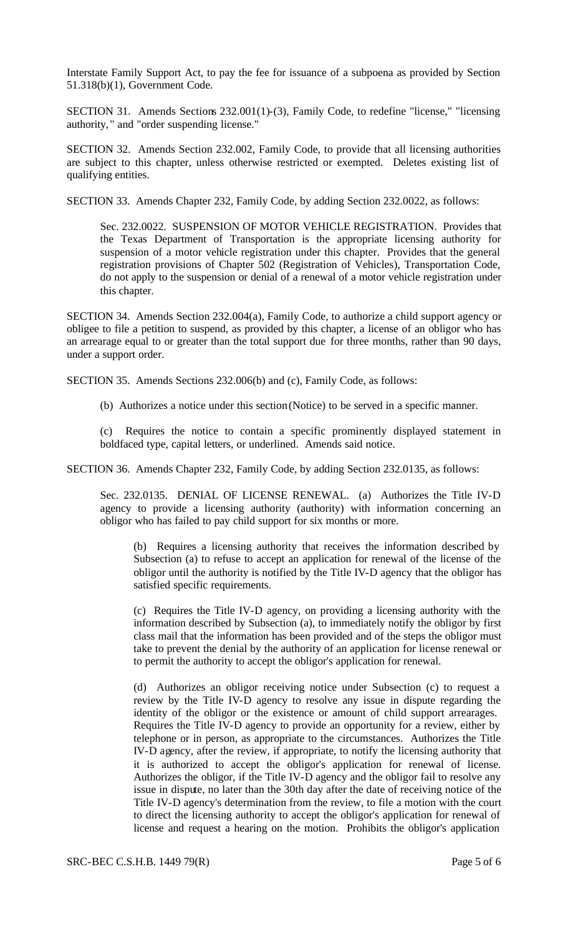Interstate Family Support Act, to pay the fee for issuance of a subpoena as provided by Section 51.318(b)(1), Government Code.

SECTION 31. Amends Sections 232.001(1)-(3), Family Code, to redefine "license," "licensing authority, " and "order suspending license."

SECTION 32. Amends Section 232.002, Family Code, to provide that all licensing authorities are subject to this chapter, unless otherwise restricted or exempted. Deletes existing list of qualifying entities.

SECTION 33. Amends Chapter 232, Family Code, by adding Section 232.0022, as follows:

Sec. 232.0022. SUSPENSION OF MOTOR VEHICLE REGISTRATION. Provides that the Texas Department of Transportation is the appropriate licensing authority for suspension of a motor vehicle registration under this chapter. Provides that the general registration provisions of Chapter 502 (Registration of Vehicles), Transportation Code, do not apply to the suspension or denial of a renewal of a motor vehicle registration under this chapter.

SECTION 34. Amends Section 232.004(a), Family Code, to authorize a child support agency or obligee to file a petition to suspend, as provided by this chapter, a license of an obligor who has an arrearage equal to or greater than the total support due for three months, rather than 90 days, under a support order.

SECTION 35. Amends Sections 232.006(b) and (c), Family Code, as follows:

(b) Authorizes a notice under this section (Notice) to be served in a specific manner.

(c) Requires the notice to contain a specific prominently displayed statement in boldfaced type, capital letters, or underlined. Amends said notice.

SECTION 36. Amends Chapter 232, Family Code, by adding Section 232.0135, as follows:

Sec. 232.0135. DENIAL OF LICENSE RENEWAL. (a) Authorizes the Title IV-D agency to provide a licensing authority (authority) with information concerning an obligor who has failed to pay child support for six months or more.

(b) Requires a licensing authority that receives the information described by Subsection (a) to refuse to accept an application for renewal of the license of the obligor until the authority is notified by the Title IV-D agency that the obligor has satisfied specific requirements.

(c) Requires the Title IV-D agency, on providing a licensing authority with the information described by Subsection (a), to immediately notify the obligor by first class mail that the information has been provided and of the steps the obligor must take to prevent the denial by the authority of an application for license renewal or to permit the authority to accept the obligor's application for renewal.

(d) Authorizes an obligor receiving notice under Subsection (c) to request a review by the Title IV-D agency to resolve any issue in dispute regarding the identity of the obligor or the existence or amount of child support arrearages. Requires the Title IV-D agency to provide an opportunity for a review, either by telephone or in person, as appropriate to the circumstances. Authorizes the Title IV-D agency, after the review, if appropriate, to notify the licensing authority that it is authorized to accept the obligor's application for renewal of license. Authorizes the obligor, if the Title IV-D agency and the obligor fail to resolve any issue in dispute, no later than the 30th day after the date of receiving notice of the Title IV-D agency's determination from the review, to file a motion with the court to direct the licensing authority to accept the obligor's application for renewal of license and request a hearing on the motion. Prohibits the obligor's application